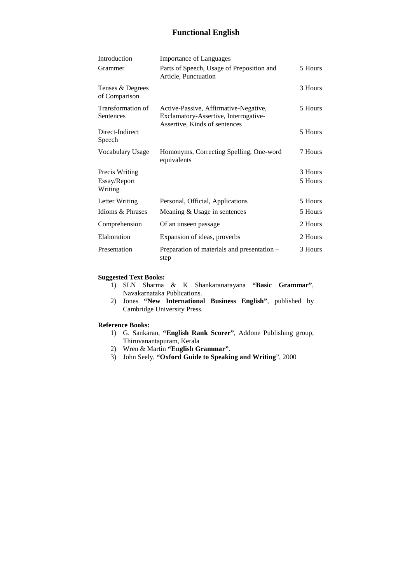## **Functional English**

| Introduction                      | <b>Importance of Languages</b>                                                                                  |         |
|-----------------------------------|-----------------------------------------------------------------------------------------------------------------|---------|
| Grammer                           | Parts of Speech, Usage of Preposition and<br>Article, Punctuation                                               | 5 Hours |
| Tenses & Degrees<br>of Comparison |                                                                                                                 | 3 Hours |
| Transformation of<br>Sentences    | Active-Passive, Affirmative-Negative,<br>Exclamatory-Assertive, Interrogative-<br>Assertive, Kinds of sentences | 5 Hours |
| Direct-Indirect<br>Speech         |                                                                                                                 | 5 Hours |
| Vocabulary Usage                  | Homonyms, Correcting Spelling, One-word<br>equivalents                                                          | 7 Hours |
| Precis Writing                    |                                                                                                                 | 3 Hours |
| Essay/Report<br>Writing           |                                                                                                                 | 5 Hours |
| Letter Writing                    | Personal, Official, Applications                                                                                | 5 Hours |
| Idioms & Phrases                  | Meaning & Usage in sentences                                                                                    | 5 Hours |
| Comprehension                     | Of an unseen passage                                                                                            | 2 Hours |
| Elaboration                       | Expansion of ideas, proverbs                                                                                    | 2 Hours |
| Presentation                      | Preparation of materials and presentation –<br>step                                                             | 3 Hours |

## **Suggested Text Books:**

- 1) SLN Sharma & K Shankaranarayana **"Basic Grammar"**, Navakarnataka Publications.
- 2) Jones **"New International Business English"**, published by Cambridge University Press.

#### **Reference Books:**

- 1) G. Sankaran, **"English Rank Scorer"**, Addone Publishing group, Thiruvanantapuram, Kerala
- 2) Wren & Martin **"English Grammar"**.
- 3) John Seely, **"Oxford Guide to Speaking and Writing**", 2000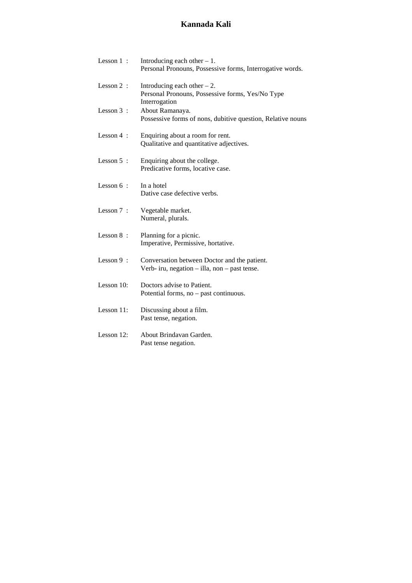# **Kannada Kali**

| Lesson $1$ :  | Introducing each other $-1$ .<br>Personal Pronouns, Possessive forms, Interrogative words.         |
|---------------|----------------------------------------------------------------------------------------------------|
| Lesson $2$ :  | Introducing each other $-2$ .<br>Personal Pronouns, Possessive forms, Yes/No Type<br>Interrogation |
| Lesson $3$ :  | About Ramanaya.<br>Possessive forms of nons, dubitive question, Relative nouns                     |
| Lesson $4$ :  | Enquiring about a room for rent.<br>Qualitative and quantitative adjectives.                       |
| Lesson 5 :    | Enquiring about the college.<br>Predicative forms, locative case.                                  |
| Lesson $6:$   | In a hotel<br>Dative case defective verbs.                                                         |
| Lesson $7$ :  | Vegetable market.<br>Numeral, plurals.                                                             |
| Lesson 8:     | Planning for a picnic.<br>Imperative, Permissive, hortative.                                       |
| Lesson $9$ :  | Conversation between Doctor and the patient.<br>Verb- iru, negation $-$ illa, non $-$ past tense.  |
| Lesson $10$ : | Doctors advise to Patient.<br>Potential forms, no – past continuous.                               |
| Lesson 11:    | Discussing about a film.<br>Past tense, negation.                                                  |
| Lesson 12:    | About Brindavan Garden.<br>Past tense negation.                                                    |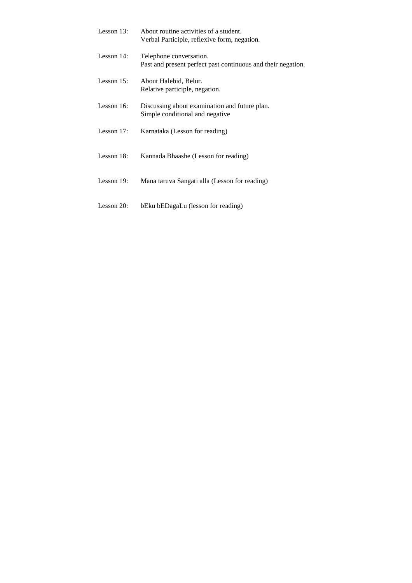| Lesson $13$ : | About routine activities of a student.<br>Verbal Participle, reflexive form, negation.  |
|---------------|-----------------------------------------------------------------------------------------|
| Lesson $14$ : | Telephone conversation.<br>Past and present perfect past continuous and their negation. |
| Lesson $15$ : | About Halebid, Belur.<br>Relative participle, negation.                                 |
| Lesson $16$ : | Discussing about examination and future plan.<br>Simple conditional and negative        |
| Lesson $17$ : | Karnataka (Lesson for reading)                                                          |
| Lesson $18$ : | Kannada Bhaashe (Lesson for reading)                                                    |
| Lesson 19:    | Mana taruva Sangati alla (Lesson for reading)                                           |
|               |                                                                                         |

Lesson 20: bEku bEDagaLu (lesson for reading)